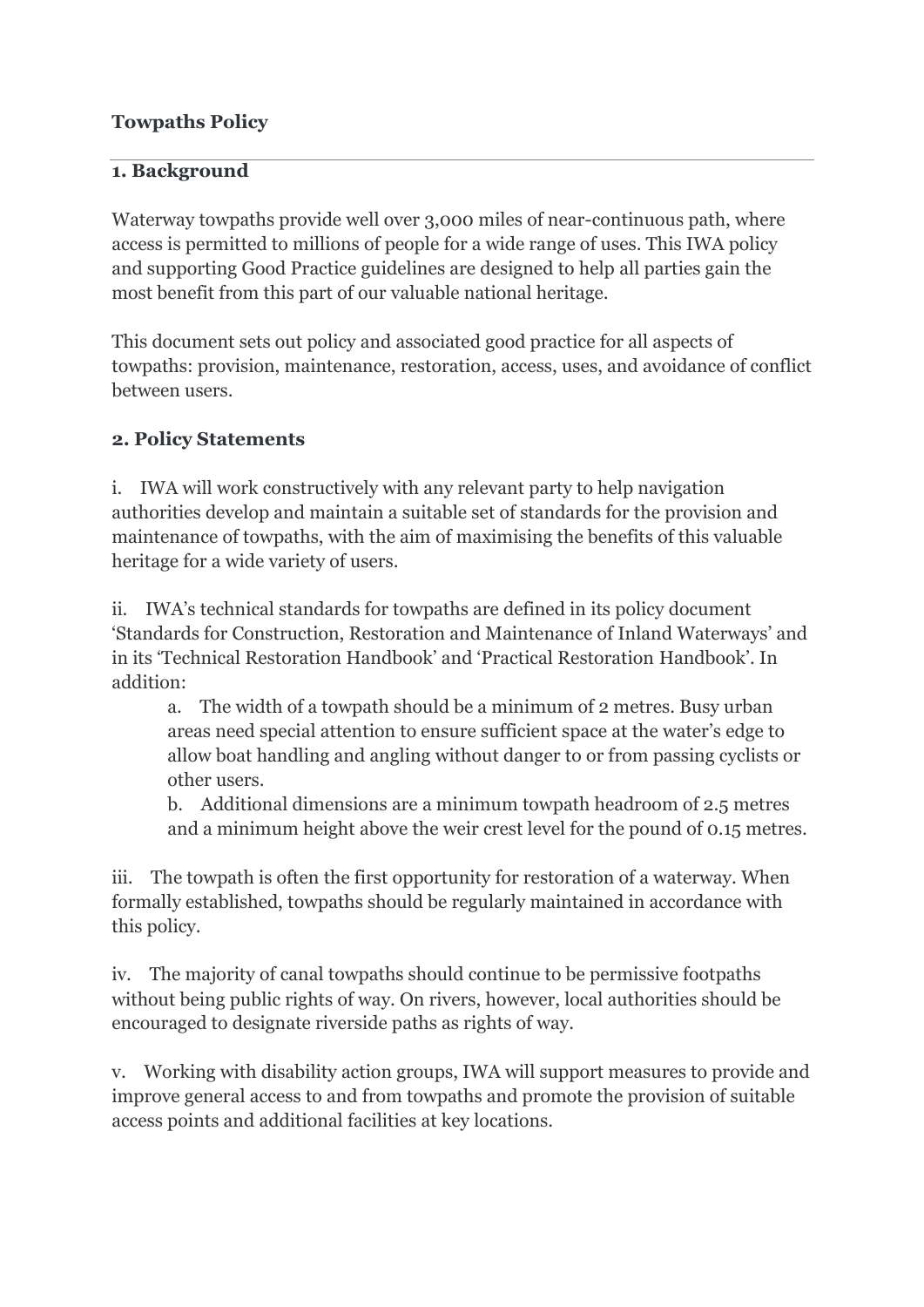### **Towpaths Policy**

#### **1. Background**

Waterway towpaths provide well over 3,000 miles of near-continuous path, where access is permitted to millions of people for a wide range of uses. This IWA policy and supporting Good Practice guidelines are designed to help all parties gain the most benefit from this part of our valuable national heritage.

This document sets out policy and associated good practice for all aspects of towpaths: provision, maintenance, restoration, access, uses, and avoidance of conflict between users.

#### **2. Policy Statements**

i. IWA will work constructively with any relevant party to help navigation authorities develop and maintain a suitable set of standards for the provision and maintenance of towpaths, with the aim of maximising the benefits of this valuable heritage for a wide variety of users.

ii. IWA's technical standards for towpaths are defined in its policy document 'Standards for Construction, Restoration and Maintenance of Inland Waterways' and in its 'Technical Restoration Handbook' and 'Practical Restoration Handbook'. In addition:

a. The width of a towpath should be a minimum of 2 metres. Busy urban areas need special attention to ensure sufficient space at the water's edge to allow boat handling and angling without danger to or from passing cyclists or other users.

b. Additional dimensions are a minimum towpath headroom of 2.5 metres and a minimum height above the weir crest level for the pound of 0.15 metres.

iii. The towpath is often the first opportunity for restoration of a waterway. When formally established, towpaths should be regularly maintained in accordance with this policy.

iv. The majority of canal towpaths should continue to be permissive footpaths without being public rights of way. On rivers, however, local authorities should be encouraged to designate riverside paths as rights of way.

v. Working with disability action groups, IWA will support measures to provide and improve general access to and from towpaths and promote the provision of suitable access points and additional facilities at key locations.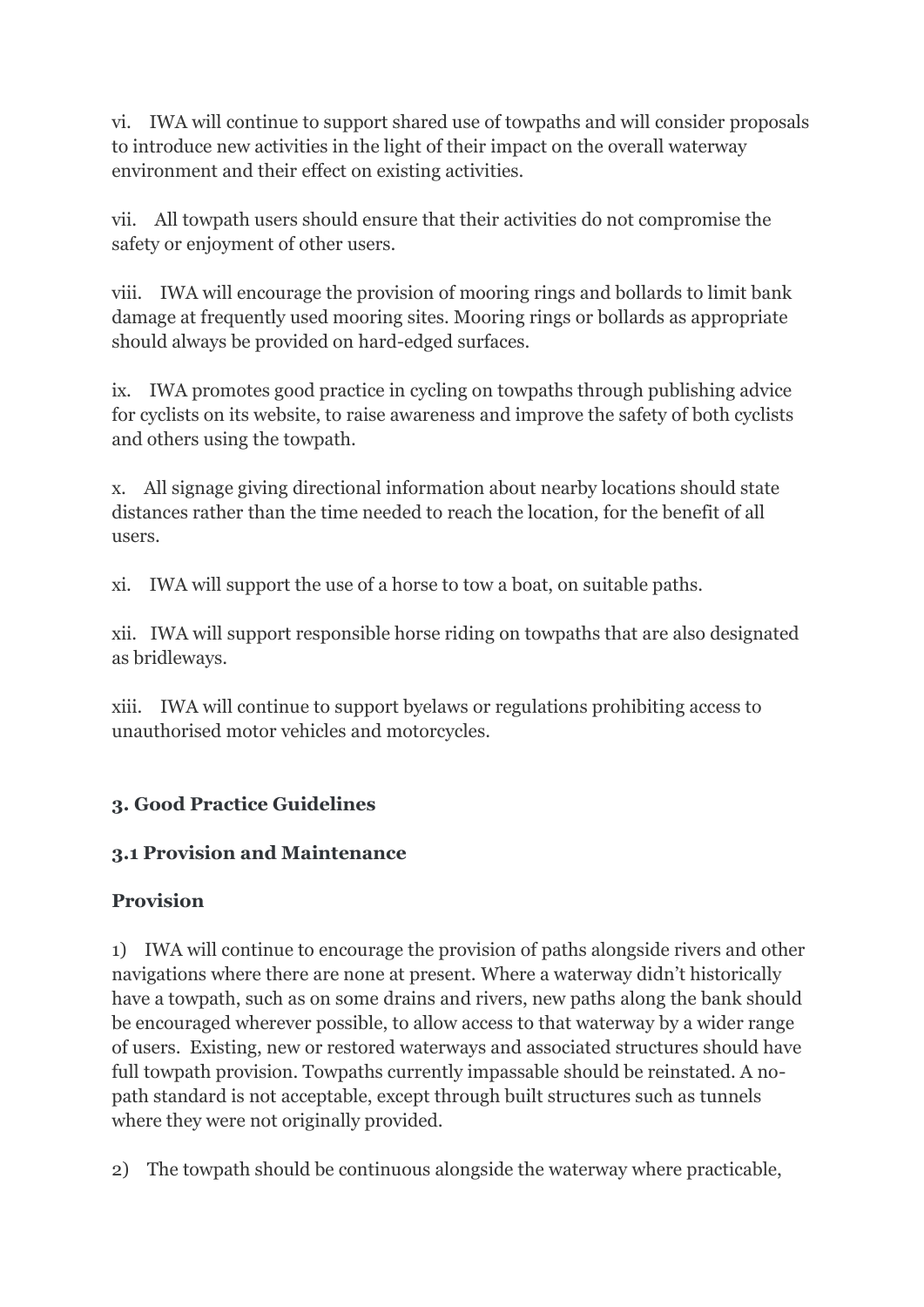vi. IWA will continue to support shared use of towpaths and will consider proposals to introduce new activities in the light of their impact on the overall waterway environment and their effect on existing activities.

vii. All towpath users should ensure that their activities do not compromise the safety or enjoyment of other users.

viii. IWA will encourage the provision of mooring rings and bollards to limit bank damage at frequently used mooring sites. Mooring rings or bollards as appropriate should always be provided on hard-edged surfaces.

ix. IWA promotes good practice in cycling on towpaths through publishing advice for cyclists on its website, to raise awareness and improve the safety of both cyclists and others using the towpath.

x. All signage giving directional information about nearby locations should state distances rather than the time needed to reach the location, for the benefit of all users.

xi. IWA will support the use of a horse to tow a boat, on suitable paths.

xii. IWA will support responsible horse riding on towpaths that are also designated as bridleways.

xiii. IWA will continue to support byelaws or regulations prohibiting access to unauthorised motor vehicles and motorcycles.

## **3. Good Practice Guidelines**

## **3.1 Provision and Maintenance**

## **Provision**

1) IWA will continue to encourage the provision of paths alongside rivers and other navigations where there are none at present. Where a waterway didn't historically have a towpath, such as on some drains and rivers, new paths along the bank should be encouraged wherever possible, to allow access to that waterway by a wider range of users. Existing, new or restored waterways and associated structures should have full towpath provision. Towpaths currently impassable should be reinstated. A nopath standard is not acceptable, except through built structures such as tunnels where they were not originally provided.

2) The towpath should be continuous alongside the waterway where practicable,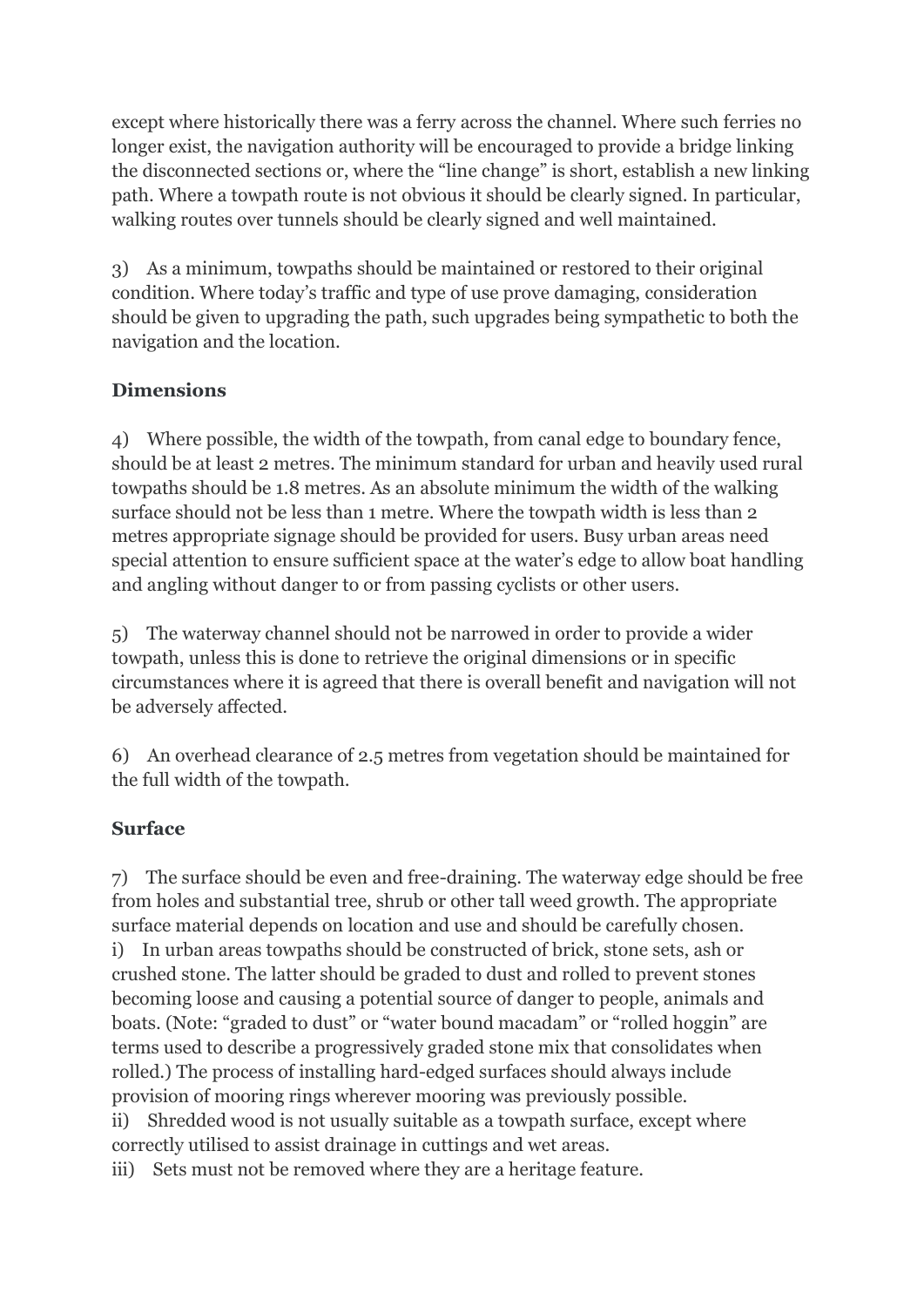except where historically there was a ferry across the channel. Where such ferries no longer exist, the navigation authority will be encouraged to provide a bridge linking the disconnected sections or, where the "line change" is short, establish a new linking path. Where a towpath route is not obvious it should be clearly signed. In particular, walking routes over tunnels should be clearly signed and well maintained.

3) As a minimum, towpaths should be maintained or restored to their original condition. Where today's traffic and type of use prove damaging, consideration should be given to upgrading the path, such upgrades being sympathetic to both the navigation and the location.

### **Dimensions**

4) Where possible, the width of the towpath, from canal edge to boundary fence, should be at least 2 metres. The minimum standard for urban and heavily used rural towpaths should be 1.8 metres. As an absolute minimum the width of the walking surface should not be less than 1 metre. Where the towpath width is less than 2 metres appropriate signage should be provided for users. Busy urban areas need special attention to ensure sufficient space at the water's edge to allow boat handling and angling without danger to or from passing cyclists or other users.

5) The waterway channel should not be narrowed in order to provide a wider towpath, unless this is done to retrieve the original dimensions or in specific circumstances where it is agreed that there is overall benefit and navigation will not be adversely affected.

6) An overhead clearance of 2.5 metres from vegetation should be maintained for the full width of the towpath.

## **Surface**

7) The surface should be even and free-draining. The waterway edge should be free from holes and substantial tree, shrub or other tall weed growth. The appropriate surface material depends on location and use and should be carefully chosen. i) In urban areas towpaths should be constructed of brick, stone sets, ash or crushed stone. The latter should be graded to dust and rolled to prevent stones becoming loose and causing a potential source of danger to people, animals and boats. (Note: "graded to dust" or "water bound macadam" or "rolled hoggin" are terms used to describe a progressively graded stone mix that consolidates when rolled.) The process of installing hard-edged surfaces should always include provision of mooring rings wherever mooring was previously possible. ii) Shredded wood is not usually suitable as a towpath surface, except where correctly utilised to assist drainage in cuttings and wet areas.

iii) Sets must not be removed where they are a heritage feature.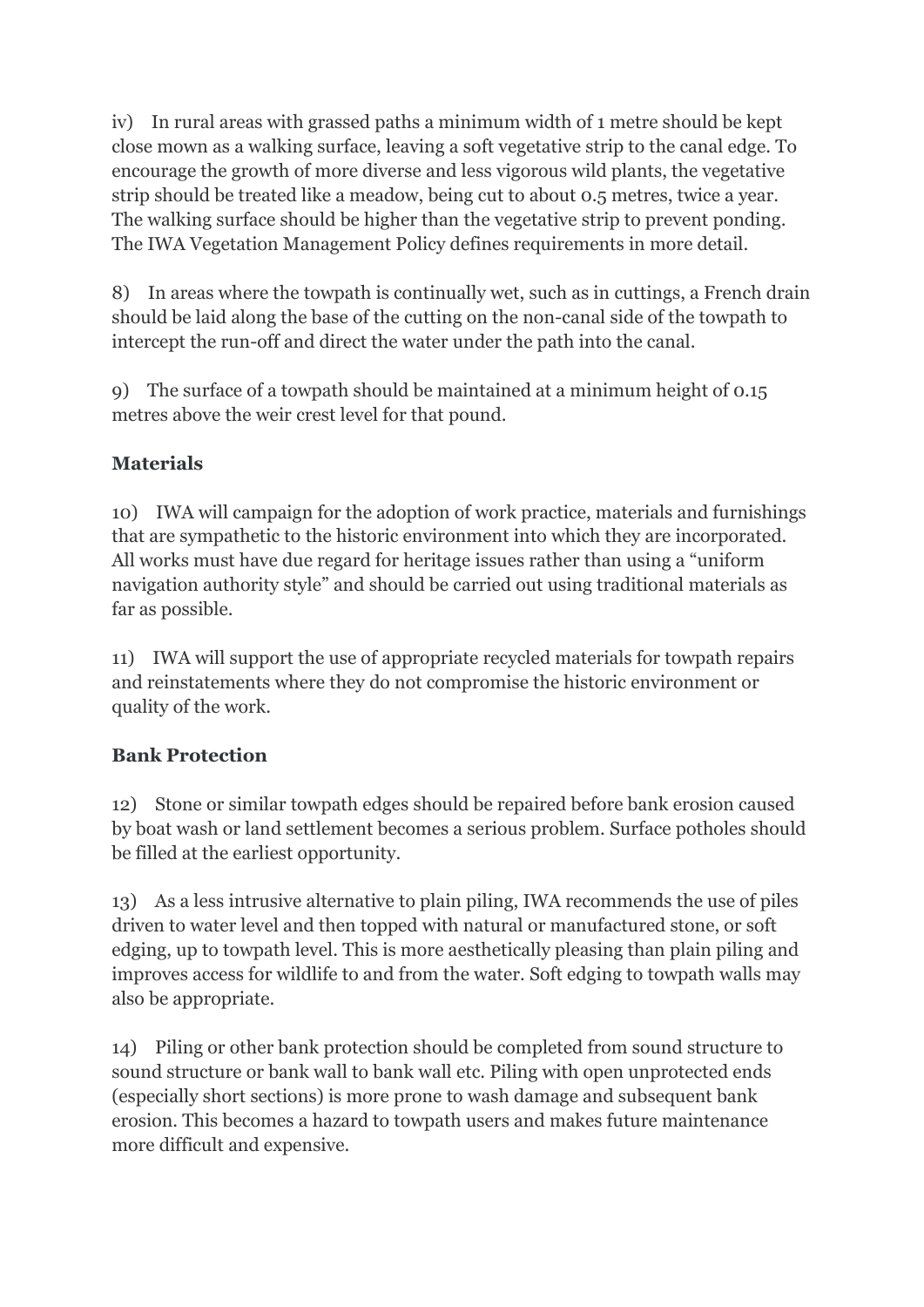iv) In rural areas with grassed paths a minimum width of 1 metre should be kept close mown as a walking surface, leaving a soft vegetative strip to the canal edge. To encourage the growth of more diverse and less vigorous wild plants, the vegetative strip should be treated like a meadow, being cut to about 0.5 metres, twice a year. The walking surface should be higher than the vegetative strip to prevent ponding. The IWA Vegetation Management Policy defines requirements in more detail.

8) In areas where the towpath is continually wet, such as in cuttings, a French drain should be laid along the base of the cutting on the non-canal side of the towpath to intercept the run-off and direct the water under the path into the canal.

9) The surface of a towpath should be maintained at a minimum height of 0.15 metres above the weir crest level for that pound.

## **Materials**

10) IWA will campaign for the adoption of work practice, materials and furnishings that are sympathetic to the historic environment into which they are incorporated. All works must have due regard for heritage issues rather than using a "uniform navigation authority style" and should be carried out using traditional materials as far as possible.

11) IWA will support the use of appropriate recycled materials for towpath repairs and reinstatements where they do not compromise the historic environment or quality of the work.

### **Bank Protection**

12) Stone or similar towpath edges should be repaired before bank erosion caused by boat wash or land settlement becomes a serious problem. Surface potholes should be filled at the earliest opportunity.

13) As a less intrusive alternative to plain piling, IWA recommends the use of piles driven to water level and then topped with natural or manufactured stone, or soft edging, up to towpath level. This is more aesthetically pleasing than plain piling and improves access for wildlife to and from the water. Soft edging to towpath walls may also be appropriate.

14) Piling or other bank protection should be completed from sound structure to sound structure or bank wall to bank wall etc. Piling with open unprotected ends (especially short sections) is more prone to wash damage and subsequent bank erosion. This becomes a hazard to towpath users and makes future maintenance more difficult and expensive.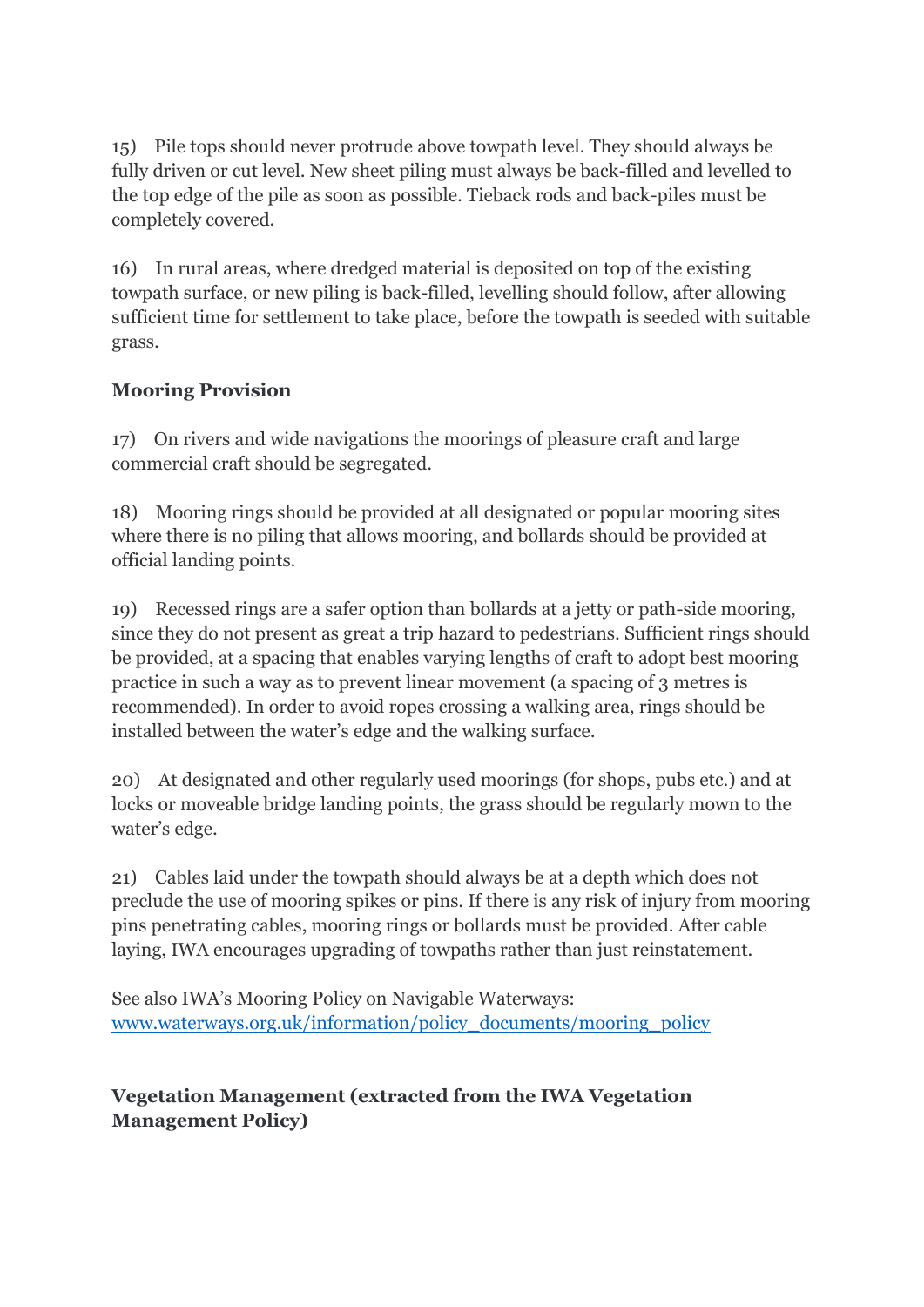15) Pile tops should never protrude above towpath level. They should always be fully driven or cut level. New sheet piling must always be back-filled and levelled to the top edge of the pile as soon as possible. Tieback rods and back-piles must be completely covered.

16) In rural areas, where dredged material is deposited on top of the existing towpath surface, or new piling is back-filled, levelling should follow, after allowing sufficient time for settlement to take place, before the towpath is seeded with suitable grass.

### **Mooring Provision**

17) On rivers and wide navigations the moorings of pleasure craft and large commercial craft should be segregated.

18) Mooring rings should be provided at all designated or popular mooring sites where there is no piling that allows mooring, and bollards should be provided at official landing points.

19) Recessed rings are a safer option than bollards at a jetty or path-side mooring, since they do not present as great a trip hazard to pedestrians. Sufficient rings should be provided, at a spacing that enables varying lengths of craft to adopt best mooring practice in such a way as to prevent linear movement (a spacing of 3 metres is recommended). In order to avoid ropes crossing a walking area, rings should be installed between the water's edge and the walking surface.

20) At designated and other regularly used moorings (for shops, pubs etc.) and at locks or moveable bridge landing points, the grass should be regularly mown to the water's edge.

21) Cables laid under the towpath should always be at a depth which does not preclude the use of mooring spikes or pins. If there is any risk of injury from mooring pins penetrating cables, mooring rings or bollards must be provided. After cable laying, IWA encourages upgrading of towpaths rather than just reinstatement.

See also IWA's Mooring Policy on Navigable Waterways: [www.waterways.org.uk/information/policy\\_documents/mooring\\_policy](http://www.waterways.org.uk/information/policy_documents/mooring_policy)

### **Vegetation Management (extracted from the IWA Vegetation Management Policy)**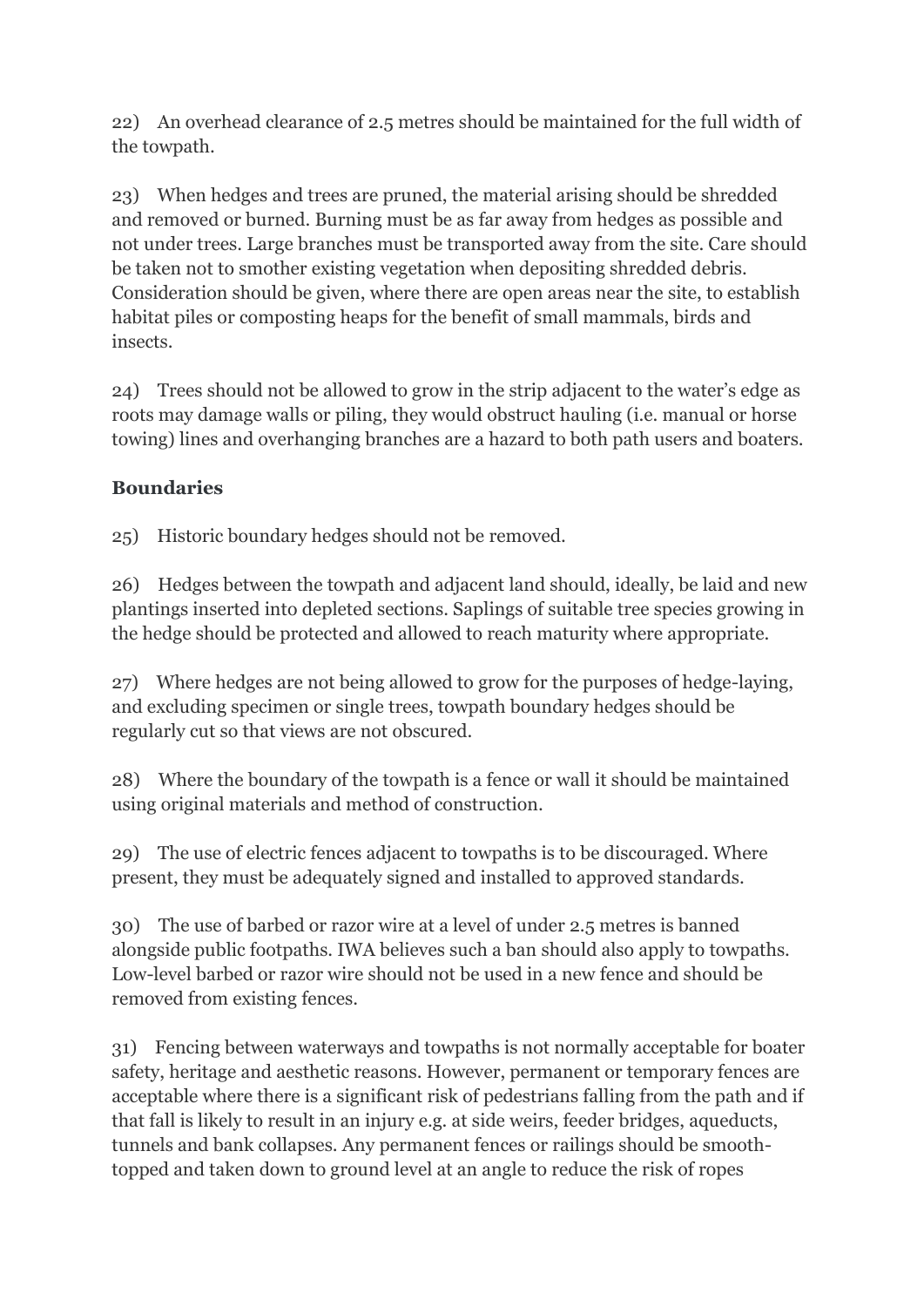22) An overhead clearance of 2.5 metres should be maintained for the full width of the towpath.

23) When hedges and trees are pruned, the material arising should be shredded and removed or burned. Burning must be as far away from hedges as possible and not under trees. Large branches must be transported away from the site. Care should be taken not to smother existing vegetation when depositing shredded debris. Consideration should be given, where there are open areas near the site, to establish habitat piles or composting heaps for the benefit of small mammals, birds and insects.

24) Trees should not be allowed to grow in the strip adjacent to the water's edge as roots may damage walls or piling, they would obstruct hauling (i.e. manual or horse towing) lines and overhanging branches are a hazard to both path users and boaters.

## **Boundaries**

25) Historic boundary hedges should not be removed.

26) Hedges between the towpath and adjacent land should, ideally, be laid and new plantings inserted into depleted sections. Saplings of suitable tree species growing in the hedge should be protected and allowed to reach maturity where appropriate.

27) Where hedges are not being allowed to grow for the purposes of hedge-laying, and excluding specimen or single trees, towpath boundary hedges should be regularly cut so that views are not obscured.

28) Where the boundary of the towpath is a fence or wall it should be maintained using original materials and method of construction.

29) The use of electric fences adjacent to towpaths is to be discouraged. Where present, they must be adequately signed and installed to approved standards.

30) The use of barbed or razor wire at a level of under 2.5 metres is banned alongside public footpaths. IWA believes such a ban should also apply to towpaths. Low-level barbed or razor wire should not be used in a new fence and should be removed from existing fences.

31) Fencing between waterways and towpaths is not normally acceptable for boater safety, heritage and aesthetic reasons. However, permanent or temporary fences are acceptable where there is a significant risk of pedestrians falling from the path and if that fall is likely to result in an injury e.g. at side weirs, feeder bridges, aqueducts, tunnels and bank collapses. Any permanent fences or railings should be smoothtopped and taken down to ground level at an angle to reduce the risk of ropes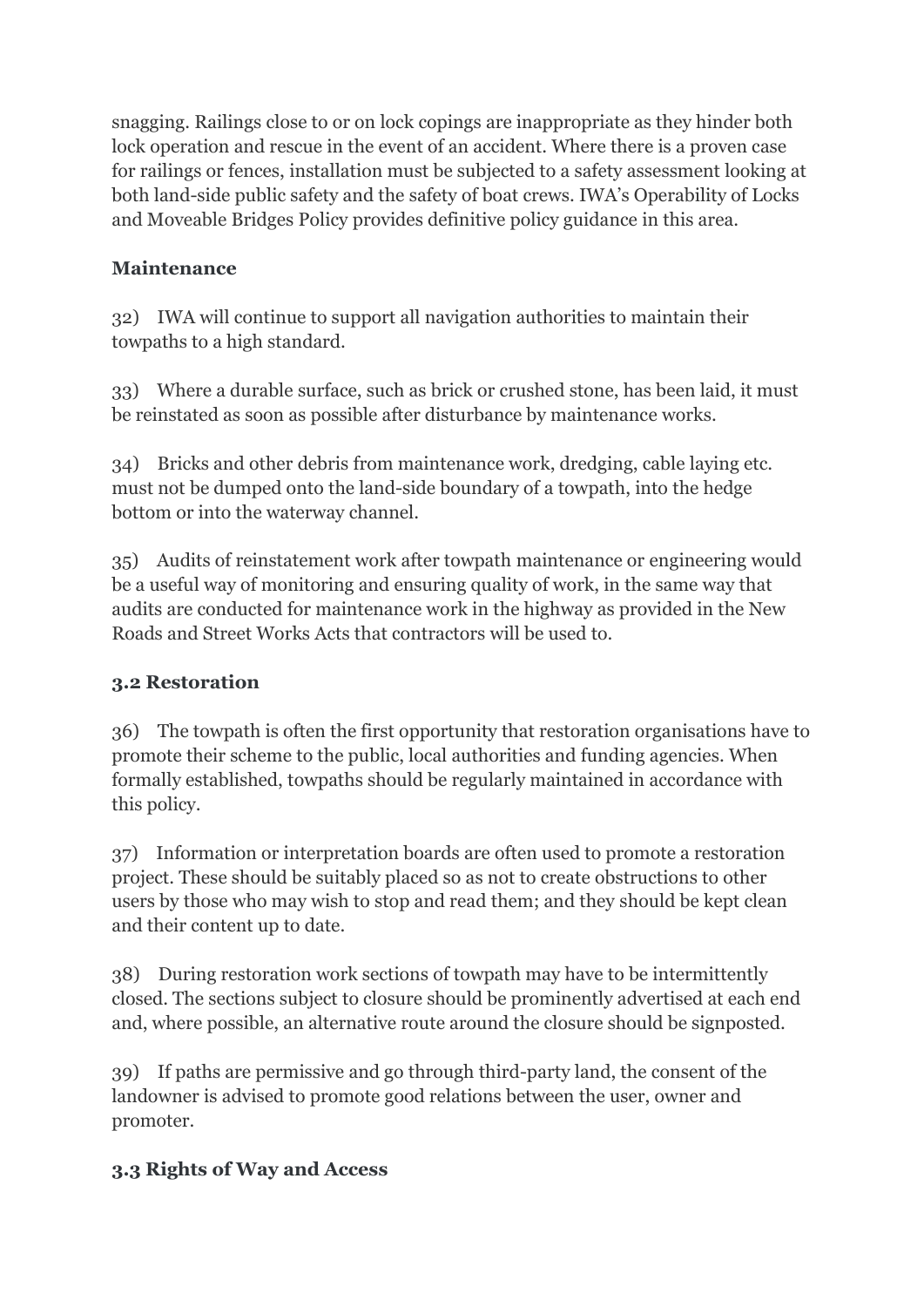snagging. Railings close to or on lock copings are inappropriate as they hinder both lock operation and rescue in the event of an accident. Where there is a proven case for railings or fences, installation must be subjected to a safety assessment looking at both land-side public safety and the safety of boat crews. IWA's Operability of Locks and Moveable Bridges Policy provides definitive policy guidance in this area.

### **Maintenance**

32) IWA will continue to support all navigation authorities to maintain their towpaths to a high standard.

33) Where a durable surface, such as brick or crushed stone, has been laid, it must be reinstated as soon as possible after disturbance by maintenance works.

34) Bricks and other debris from maintenance work, dredging, cable laying etc. must not be dumped onto the land-side boundary of a towpath, into the hedge bottom or into the waterway channel.

35) Audits of reinstatement work after towpath maintenance or engineering would be a useful way of monitoring and ensuring quality of work, in the same way that audits are conducted for maintenance work in the highway as provided in the New Roads and Street Works Acts that contractors will be used to.

### **3.2 Restoration**

36) The towpath is often the first opportunity that restoration organisations have to promote their scheme to the public, local authorities and funding agencies. When formally established, towpaths should be regularly maintained in accordance with this policy.

37) Information or interpretation boards are often used to promote a restoration project. These should be suitably placed so as not to create obstructions to other users by those who may wish to stop and read them; and they should be kept clean and their content up to date.

38) During restoration work sections of towpath may have to be intermittently closed. The sections subject to closure should be prominently advertised at each end and, where possible, an alternative route around the closure should be signposted.

39) If paths are permissive and go through third-party land, the consent of the landowner is advised to promote good relations between the user, owner and promoter.

## **3.3 Rights of Way and Access**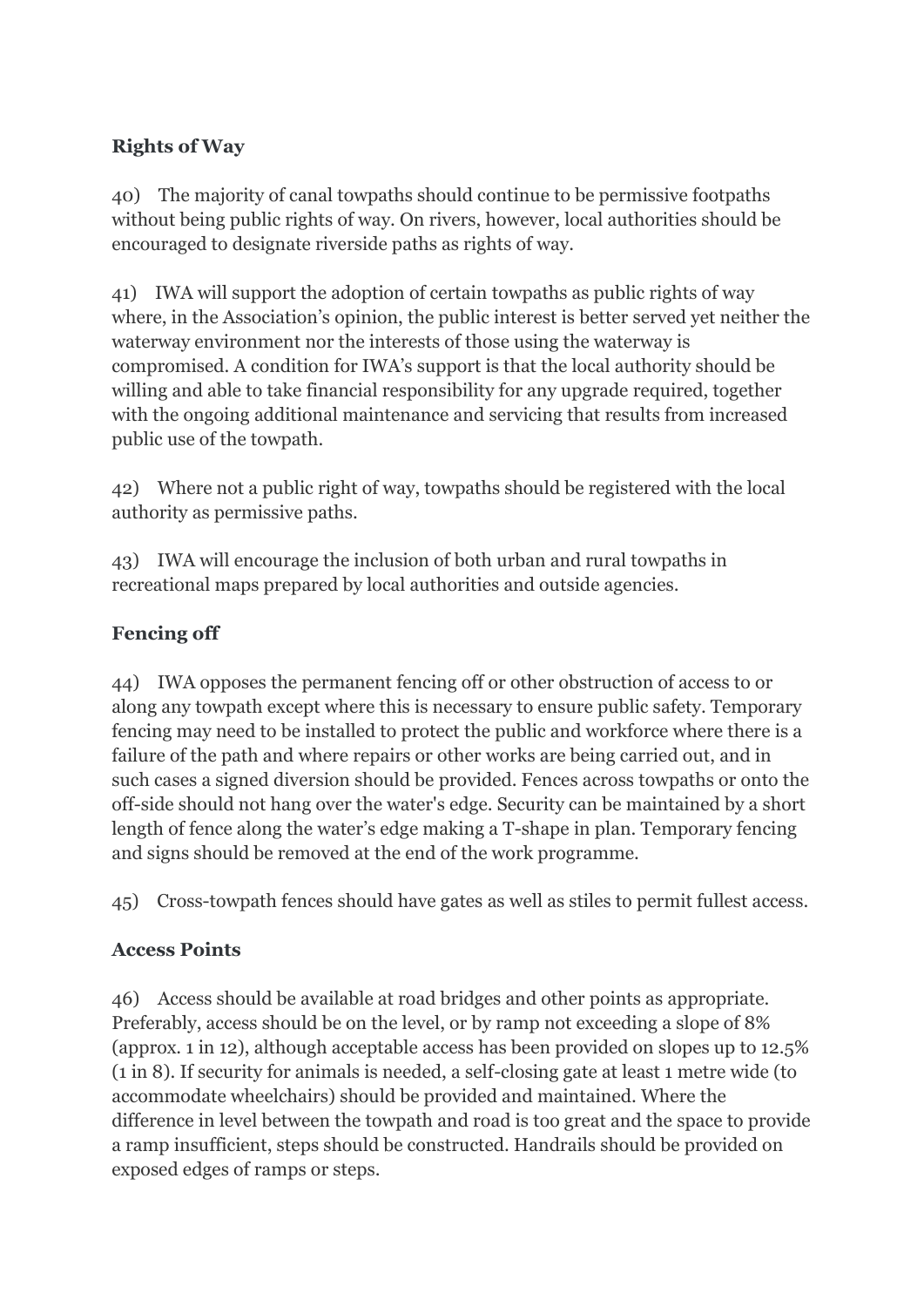### **Rights of Way**

40) The majority of canal towpaths should continue to be permissive footpaths without being public rights of way. On rivers, however, local authorities should be encouraged to designate riverside paths as rights of way.

41) IWA will support the adoption of certain towpaths as public rights of way where, in the Association's opinion, the public interest is better served yet neither the waterway environment nor the interests of those using the waterway is compromised. A condition for IWA's support is that the local authority should be willing and able to take financial responsibility for any upgrade required, together with the ongoing additional maintenance and servicing that results from increased public use of the towpath.

42) Where not a public right of way, towpaths should be registered with the local authority as permissive paths.

43) IWA will encourage the inclusion of both urban and rural towpaths in recreational maps prepared by local authorities and outside agencies.

### **Fencing off**

44) IWA opposes the permanent fencing off or other obstruction of access to or along any towpath except where this is necessary to ensure public safety. Temporary fencing may need to be installed to protect the public and workforce where there is a failure of the path and where repairs or other works are being carried out, and in such cases a signed diversion should be provided. Fences across towpaths or onto the off-side should not hang over the water's edge. Security can be maintained by a short length of fence along the water's edge making a T-shape in plan. Temporary fencing and signs should be removed at the end of the work programme.

45) Cross-towpath fences should have gates as well as stiles to permit fullest access.

### **Access Points**

46) Access should be available at road bridges and other points as appropriate. Preferably, access should be on the level, or by ramp not exceeding a slope of 8% (approx. 1 in 12), although acceptable access has been provided on slopes up to 12.5% (1 in 8). If security for animals is needed, a self-closing gate at least 1 metre wide (to accommodate wheelchairs) should be provided and maintained. Where the difference in level between the towpath and road is too great and the space to provide a ramp insufficient, steps should be constructed. Handrails should be provided on exposed edges of ramps or steps.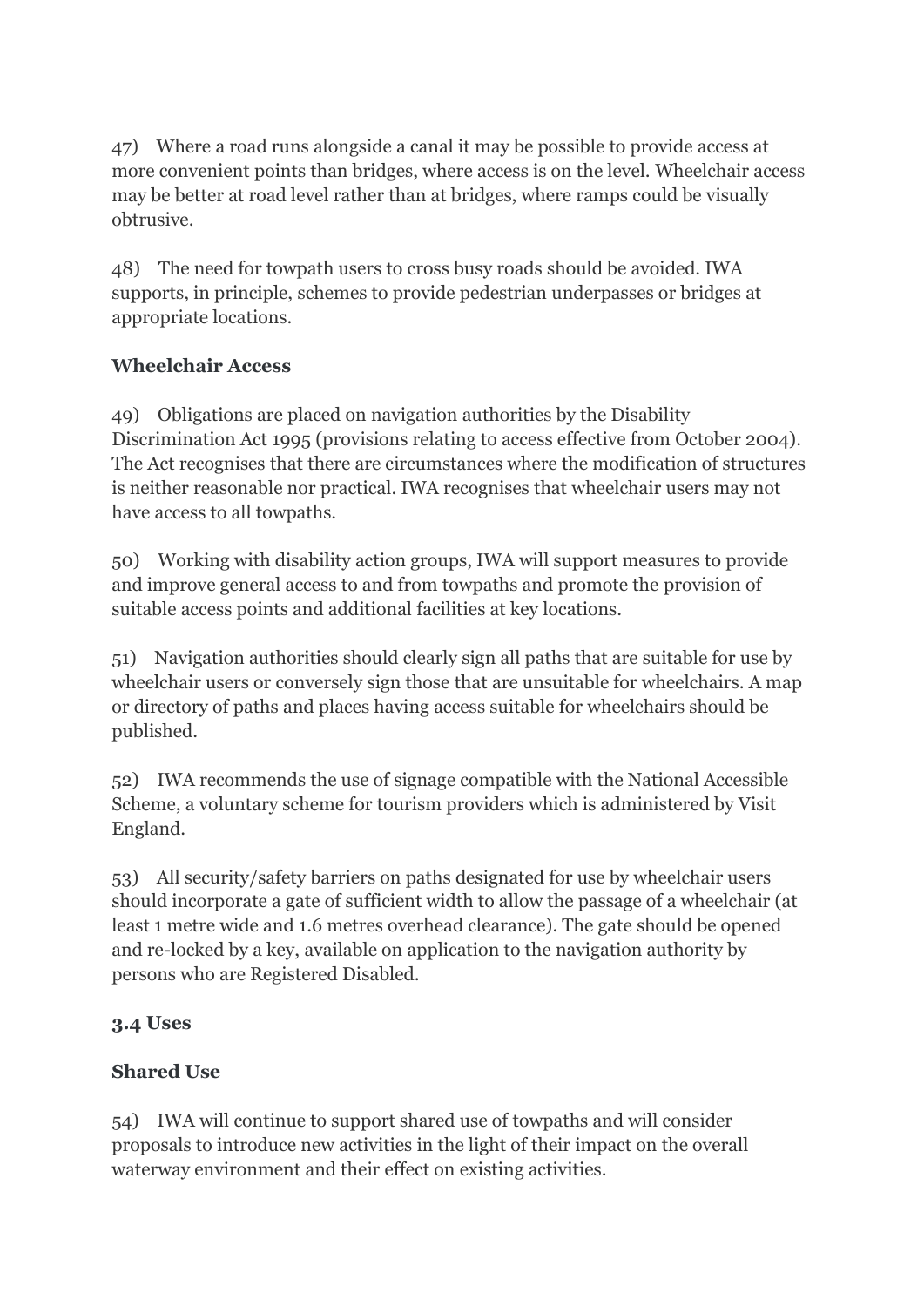47) Where a road runs alongside a canal it may be possible to provide access at more convenient points than bridges, where access is on the level. Wheelchair access may be better at road level rather than at bridges, where ramps could be visually obtrusive.

48) The need for towpath users to cross busy roads should be avoided. IWA supports, in principle, schemes to provide pedestrian underpasses or bridges at appropriate locations.

## **Wheelchair Access**

49) Obligations are placed on navigation authorities by the Disability Discrimination Act 1995 (provisions relating to access effective from October 2004). The Act recognises that there are circumstances where the modification of structures is neither reasonable nor practical. IWA recognises that wheelchair users may not have access to all towpaths.

50) Working with disability action groups, IWA will support measures to provide and improve general access to and from towpaths and promote the provision of suitable access points and additional facilities at key locations.

51) Navigation authorities should clearly sign all paths that are suitable for use by wheelchair users or conversely sign those that are unsuitable for wheelchairs. A map or directory of paths and places having access suitable for wheelchairs should be published.

52) IWA recommends the use of signage compatible with the National Accessible Scheme, a voluntary scheme for tourism providers which is administered by Visit England.

53) All security/safety barriers on paths designated for use by wheelchair users should incorporate a gate of sufficient width to allow the passage of a wheelchair (at least 1 metre wide and 1.6 metres overhead clearance). The gate should be opened and re-locked by a key, available on application to the navigation authority by persons who are Registered Disabled.

## **3.4 Uses**

## **Shared Use**

54) IWA will continue to support shared use of towpaths and will consider proposals to introduce new activities in the light of their impact on the overall waterway environment and their effect on existing activities.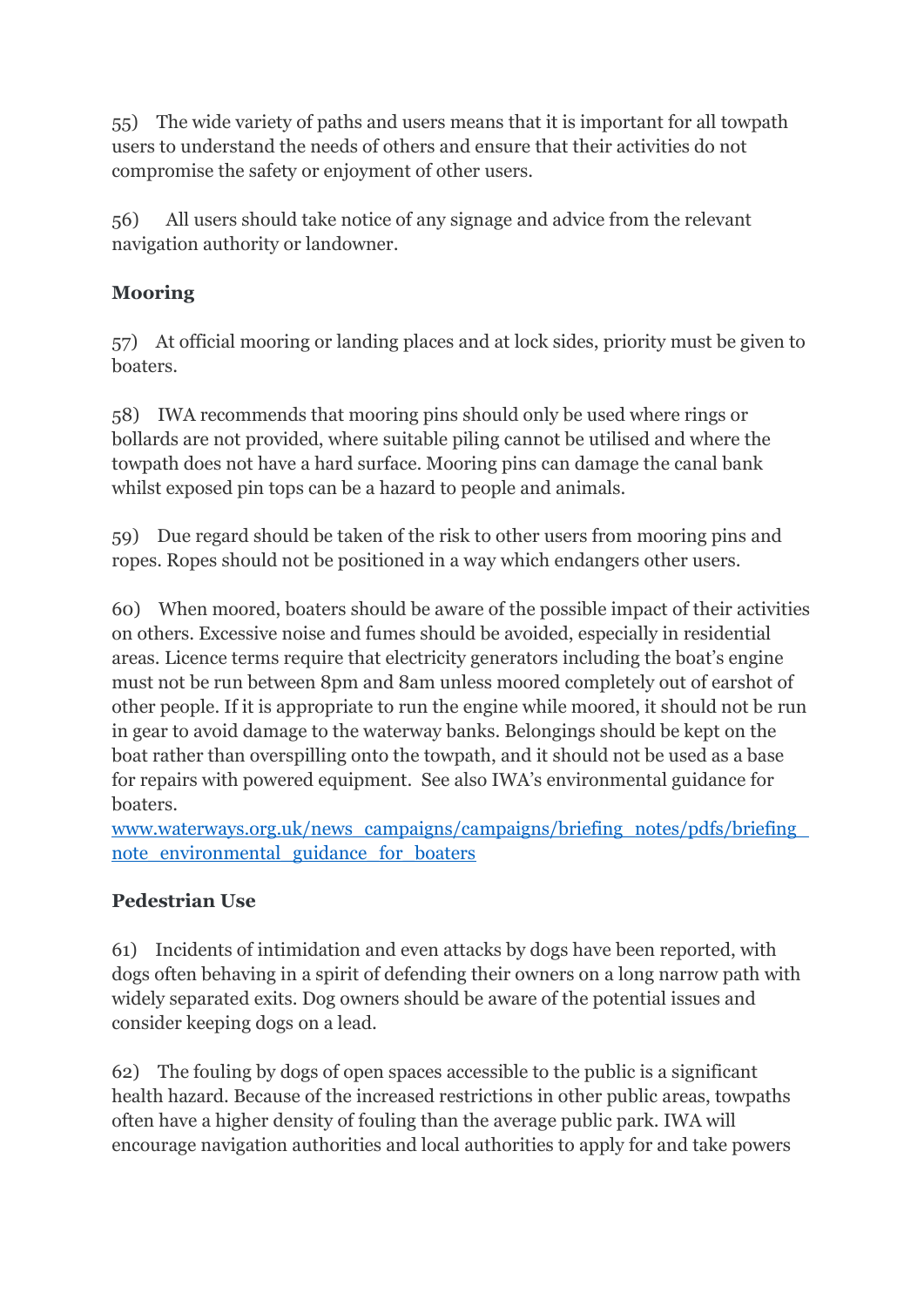55) The wide variety of paths and users means that it is important for all towpath users to understand the needs of others and ensure that their activities do not compromise the safety or enjoyment of other users.

56) All users should take notice of any signage and advice from the relevant navigation authority or landowner.

## **Mooring**

57) At official mooring or landing places and at lock sides, priority must be given to boaters.

58) IWA recommends that mooring pins should only be used where rings or bollards are not provided, where suitable piling cannot be utilised and where the towpath does not have a hard surface. Mooring pins can damage the canal bank whilst exposed pin tops can be a hazard to people and animals.

59) Due regard should be taken of the risk to other users from mooring pins and ropes. Ropes should not be positioned in a way which endangers other users.

60) When moored, boaters should be aware of the possible impact of their activities on others. Excessive noise and fumes should be avoided, especially in residential areas. Licence terms require that electricity generators including the boat's engine must not be run between 8pm and 8am unless moored completely out of earshot of other people. If it is appropriate to run the engine while moored, it should not be run in gear to avoid damage to the waterway banks. Belongings should be kept on the boat rather than overspilling onto the towpath, and it should not be used as a base for repairs with powered equipment. See also IWA's environmental guidance for boaters.

[www.waterways.org.uk/news\\_campaigns/campaigns/briefing\\_notes/pdfs/briefing\\_](http://www.waterways.org.uk/news_campaigns/campaigns/briefing_notes/pdfs/briefing_note_environmental_guidance_for_boaters) note environmental guidance for boaters

## **Pedestrian Use**

61) Incidents of intimidation and even attacks by dogs have been reported, with dogs often behaving in a spirit of defending their owners on a long narrow path with widely separated exits. Dog owners should be aware of the potential issues and consider keeping dogs on a lead.

62) The fouling by dogs of open spaces accessible to the public is a significant health hazard. Because of the increased restrictions in other public areas, towpaths often have a higher density of fouling than the average public park. IWA will encourage navigation authorities and local authorities to apply for and take powers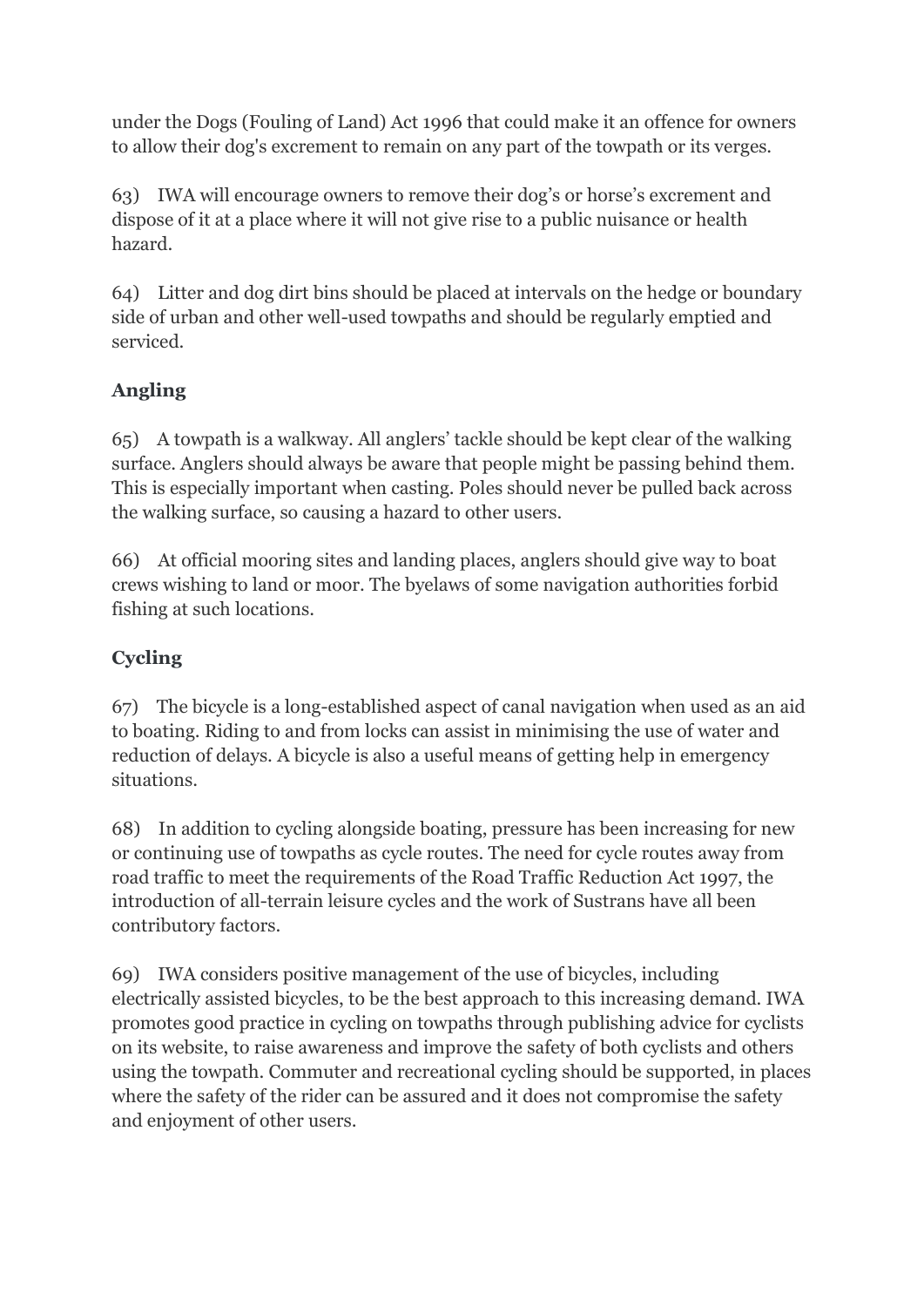under the Dogs (Fouling of Land) Act 1996 that could make it an offence for owners to allow their dog's excrement to remain on any part of the towpath or its verges.

63) IWA will encourage owners to remove their dog's or horse's excrement and dispose of it at a place where it will not give rise to a public nuisance or health hazard.

64) Litter and dog dirt bins should be placed at intervals on the hedge or boundary side of urban and other well-used towpaths and should be regularly emptied and serviced.

# **Angling**

65) A towpath is a walkway. All anglers' tackle should be kept clear of the walking surface. Anglers should always be aware that people might be passing behind them. This is especially important when casting. Poles should never be pulled back across the walking surface, so causing a hazard to other users.

66) At official mooring sites and landing places, anglers should give way to boat crews wishing to land or moor. The byelaws of some navigation authorities forbid fishing at such locations.

## **Cycling**

67) The bicycle is a long-established aspect of canal navigation when used as an aid to boating. Riding to and from locks can assist in minimising the use of water and reduction of delays. A bicycle is also a useful means of getting help in emergency situations.

68) In addition to cycling alongside boating, pressure has been increasing for new or continuing use of towpaths as cycle routes. The need for cycle routes away from road traffic to meet the requirements of the Road Traffic Reduction Act 1997, the introduction of all-terrain leisure cycles and the work of Sustrans have all been contributory factors.

69) IWA considers positive management of the use of bicycles, including electrically assisted bicycles, to be the best approach to this increasing demand. IWA promotes good practice in cycling on towpaths through publishing advice for cyclists on its website, to raise awareness and improve the safety of both cyclists and others using the towpath. Commuter and recreational cycling should be supported, in places where the safety of the rider can be assured and it does not compromise the safety and enjoyment of other users.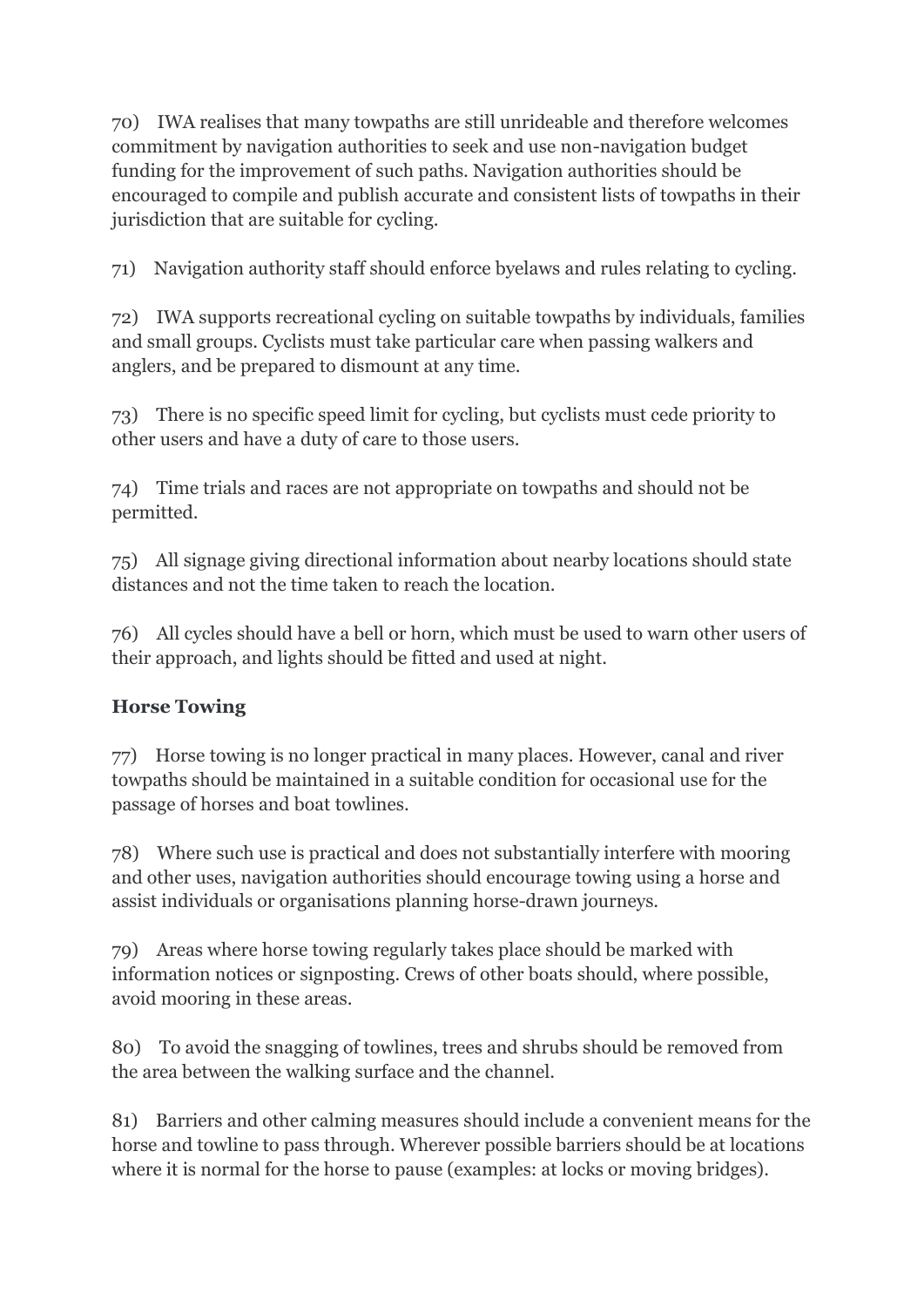70) IWA realises that many towpaths are still unrideable and therefore welcomes commitment by navigation authorities to seek and use non-navigation budget funding for the improvement of such paths. Navigation authorities should be encouraged to compile and publish accurate and consistent lists of towpaths in their jurisdiction that are suitable for cycling.

71) Navigation authority staff should enforce byelaws and rules relating to cycling.

72) IWA supports recreational cycling on suitable towpaths by individuals, families and small groups. Cyclists must take particular care when passing walkers and anglers, and be prepared to dismount at any time.

73) There is no specific speed limit for cycling, but cyclists must cede priority to other users and have a duty of care to those users.

74) Time trials and races are not appropriate on towpaths and should not be permitted.

75) All signage giving directional information about nearby locations should state distances and not the time taken to reach the location.

76) All cycles should have a bell or horn, which must be used to warn other users of their approach, and lights should be fitted and used at night.

## **Horse Towing**

77) Horse towing is no longer practical in many places. However, canal and river towpaths should be maintained in a suitable condition for occasional use for the passage of horses and boat towlines.

78) Where such use is practical and does not substantially interfere with mooring and other uses, navigation authorities should encourage towing using a horse and assist individuals or organisations planning horse-drawn journeys.

79) Areas where horse towing regularly takes place should be marked with information notices or signposting. Crews of other boats should, where possible, avoid mooring in these areas.

80) To avoid the snagging of towlines, trees and shrubs should be removed from the area between the walking surface and the channel.

81) Barriers and other calming measures should include a convenient means for the horse and towline to pass through. Wherever possible barriers should be at locations where it is normal for the horse to pause (examples: at locks or moving bridges).